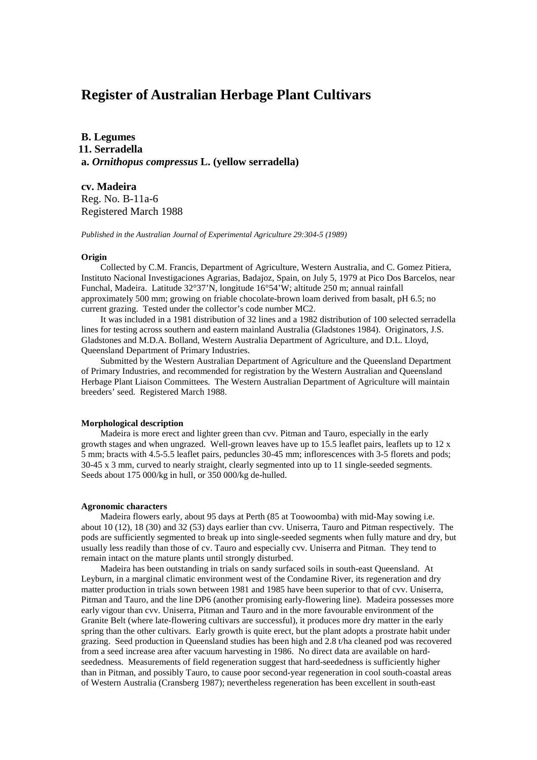# **Register of Australian Herbage Plant Cultivars**

**B. Legumes 11. Serradella a.** *Ornithopus compressus* **L. (yellow serradella)**

**cv. Madeira** Reg. No. B-11a-6 Registered March 1988

*Published in the Australian Journal of Experimental Agriculture 29:304-5 (1989)*

### **Origin**

Collected by C.M. Francis, Department of Agriculture, Western Australia, and C. Gomez Pitiera, Instituto Nacional Investigaciones Agrarias, Badajoz, Spain, on July 5, 1979 at Pico Dos Barcelos, near Funchal, Madeira. Latitude 32°37'N, longitude 16°54'W; altitude 250 m; annual rainfall approximately 500 mm; growing on friable chocolate-brown loam derived from basalt, pH 6.5; no current grazing. Tested under the collector's code number MC2.

It was included in a 1981 distribution of 32 lines and a 1982 distribution of 100 selected serradella lines for testing across southern and eastern mainland Australia (Gladstones 1984). Originators, J.S. Gladstones and M.D.A. Bolland, Western Australia Department of Agriculture, and D.L. Lloyd, Queensland Department of Primary Industries.

Submitted by the Western Australian Department of Agriculture and the Queensland Department of Primary Industries, and recommended for registration by the Western Australian and Queensland Herbage Plant Liaison Committees. The Western Australian Department of Agriculture will maintain breeders' seed. Registered March 1988.

# **Morphological description**

Madeira is more erect and lighter green than cvv. Pitman and Tauro, especially in the early growth stages and when ungrazed. Well-grown leaves have up to 15.5 leaflet pairs, leaflets up to 12 x 5 mm; bracts with 4.5-5.5 leaflet pairs, peduncles 30-45 mm; inflorescences with 3-5 florets and pods; 30-45 x 3 mm, curved to nearly straight, clearly segmented into up to 11 single-seeded segments. Seeds about 175 000/kg in hull, or 350 000/kg de-hulled.

## **Agronomic characters**

Madeira flowers early, about 95 days at Perth (85 at Toowoomba) with mid-May sowing i.e. about 10 (12), 18 (30) and 32 (53) days earlier than cvv. Uniserra, Tauro and Pitman respectively. The pods are sufficiently segmented to break up into single-seeded segments when fully mature and dry, but usually less readily than those of cv. Tauro and especially cvv. Uniserra and Pitman. They tend to remain intact on the mature plants until strongly disturbed.

Madeira has been outstanding in trials on sandy surfaced soils in south-east Queensland. At Leyburn, in a marginal climatic environment west of the Condamine River, its regeneration and dry matter production in trials sown between 1981 and 1985 have been superior to that of cvv. Uniserra, Pitman and Tauro, and the line DP6 (another promising early-flowering line). Madeira possesses more early vigour than cvv. Uniserra, Pitman and Tauro and in the more favourable environment of the Granite Belt (where late-flowering cultivars are successful), it produces more dry matter in the early spring than the other cultivars. Early growth is quite erect, but the plant adopts a prostrate habit under grazing. Seed production in Queensland studies has been high and 2.8 t/ha cleaned pod was recovered from a seed increase area after vacuum harvesting in 1986. No direct data are available on hardseededness. Measurements of field regeneration suggest that hard-seededness is sufficiently higher than in Pitman, and possibly Tauro, to cause poor second-year regeneration in cool south-coastal areas of Western Australia (Cransberg 1987); nevertheless regeneration has been excellent in south-east